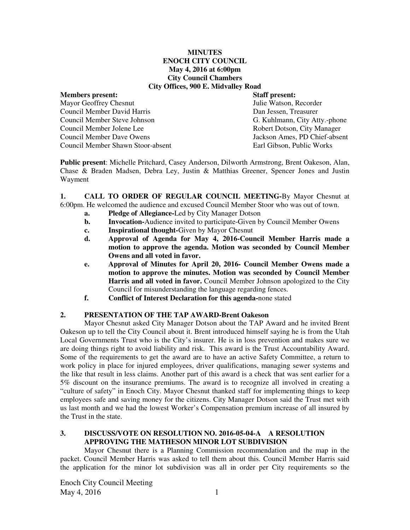#### **MINUTES ENOCH CITY COUNCIL May 4, 2016 at 6:00pm City Council Chambers City Offices, 900 E. Midvalley Road**

### **Members present: Staff present:**  Mayor Geoffrey Chesnut Council Member David Harris Dan Jessen, Treasurer Council Member Steve Johnson G. Kuhlmann, City Atty.-phone Council Member Jolene Lee Robert Dotson, City Manager Council Member Dave Owens Jackson Ames, PD Chief-absent Council Member Shawn Stoor-absent Earl Gibson, Public Works

**Public present**: Michelle Pritchard, Casey Anderson, Dilworth Armstrong, Brent Oakeson, Alan, Chase & Braden Madsen, Debra Ley, Justin & Matthias Greener, Spencer Jones and Justin Wayment

**1. CALL TO ORDER OF REGULAR COUNCIL MEETING-**By Mayor Chesnut at 6:00pm. He welcomed the audience and excused Council Member Stoor who was out of town.

- **a. Pledge of Allegiance-**Led by City Manager Dotson
- **b.** Invocation-Audience invited to participate-Given by Council Member Owens
- **c. Inspirational thought-**Given by Mayor Chesnut
- **d. Approval of Agenda for May 4, 2016-Council Member Harris made a motion to approve the agenda. Motion was seconded by Council Member Owens and all voted in favor.**
- **e. Approval of Minutes for April 20, 2016- Council Member Owens made a motion to approve the minutes. Motion was seconded by Council Member Harris and all voted in favor.** Council Member Johnson apologized to the City Council for misunderstanding the language regarding fences.
- **f. Conflict of Interest Declaration for this agenda-**none stated

## **2. PRESENTATION OF THE TAP AWARD-Brent Oakeson**

Mayor Chesnut asked City Manager Dotson about the TAP Award and he invited Brent Oakeson up to tell the City Council about it. Brent introduced himself saying he is from the Utah Local Governments Trust who is the City's insurer. He is in loss prevention and makes sure we are doing things right to avoid liability and risk. This award is the Trust Accountability Award. Some of the requirements to get the award are to have an active Safety Committee, a return to work policy in place for injured employees, driver qualifications, managing sewer systems and the like that result in less claims. Another part of this award is a check that was sent earlier for a 5% discount on the insurance premiums. The award is to recognize all involved in creating a "culture of safety" in Enoch City. Mayor Chesnut thanked staff for implementing things to keep employees safe and saving money for the citizens. City Manager Dotson said the Trust met with us last month and we had the lowest Worker's Compensation premium increase of all insured by the Trust in the state.

# **3. DISCUSS/VOTE ON RESOLUTION NO. 2016-05-04-A A RESOLUTION APPROVING THE MATHESON MINOR LOT SUBDIVISION**

Mayor Chesnut there is a Planning Commission recommendation and the map in the packet. Council Member Harris was asked to tell them about this. Council Member Harris said the application for the minor lot subdivision was all in order per City requirements so the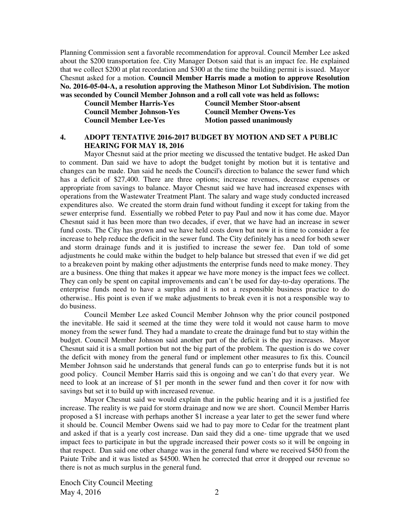Planning Commission sent a favorable recommendation for approval. Council Member Lee asked about the \$200 transportation fee. City Manager Dotson said that is an impact fee. He explained that we collect \$200 at plat recordation and \$300 at the time the building permit is issued.Mayor Chesnut asked for a motion. **Council Member Harris made a motion to approve Resolution No. 2016-05-04-A, a resolution approving the Matheson Minor Lot Subdivision. The motion was seconded by Council Member Johnson and a roll call vote was held as follows:** 

| <b>Council Member Harris-Yes</b>  |
|-----------------------------------|
| <b>Council Member Johnson-Yes</b> |
| <b>Council Member Lee-Yes</b>     |

**Council Member Stoor-absent Council Member Owens-Yes Motion passed unanimously** 

### **4. ADOPT TENTATIVE 2016-2017 BUDGET BY MOTION AND SET A PUBLIC HEARING FOR MAY 18, 2016**

Mayor Chesnut said at the prior meeting we discussed the tentative budget. He asked Dan to comment. Dan said we have to adopt the budget tonight by motion but it is tentative and changes can be made. Dan said he needs the Council's direction to balance the sewer fund which has a deficit of \$27,400. There are three options; increase revenues, decrease expenses or appropriate from savings to balance. Mayor Chesnut said we have had increased expenses with operations from the Wastewater Treatment Plant. The salary and wage study conducted increased expenditures also. We created the storm drain fund without funding it except for taking from the sewer enterprise fund. Essentially we robbed Peter to pay Paul and now it has come due. Mayor Chesnut said it has been more than two decades, if ever, that we have had an increase in sewer fund costs. The City has grown and we have held costs down but now it is time to consider a fee increase to help reduce the deficit in the sewer fund. The City definitely has a need for both sewer and storm drainage funds and it is justified to increase the sewer fee. Dan told of some adjustments he could make within the budget to help balance but stressed that even if we did get to a breakeven point by making other adjustments the enterprise funds need to make money. They are a business. One thing that makes it appear we have more money is the impact fees we collect. They can only be spent on capital improvements and can't be used for day-to-day operations. The enterprise funds need to have a surplus and it is not a responsible business practice to do otherwise.. His point is even if we make adjustments to break even it is not a responsible way to do business.

Council Member Lee asked Council Member Johnson why the prior council postponed the inevitable. He said it seemed at the time they were told it would not cause harm to move money from the sewer fund. They had a mandate to create the drainage fund but to stay within the budget. Council Member Johnson said another part of the deficit is the pay increases. Mayor Chesnut said it is a small portion but not the big part of the problem. The question is do we cover the deficit with money from the general fund or implement other measures to fix this. Council Member Johnson said he understands that general funds can go to enterprise funds but it is not good policy. Council Member Harris said this is ongoing and we can't do that every year. We need to look at an increase of \$1 per month in the sewer fund and then cover it for now with savings but set it to build up with increased revenue.

Mayor Chesnut said we would explain that in the public hearing and it is a justified fee increase. The reality is we paid for storm drainage and now we are short. Council Member Harris proposed a \$1 increase with perhaps another \$1 increase a year later to get the sewer fund where it should be. Council Member Owens said we had to pay more to Cedar for the treatment plant and asked if that is a yearly cost increase. Dan said they did a one- time upgrade that we used impact fees to participate in but the upgrade increased their power costs so it will be ongoing in that respect. Dan said one other change was in the general fund where we received \$450 from the Paiute Tribe and it was listed as \$4500. When he corrected that error it dropped our revenue so there is not as much surplus in the general fund.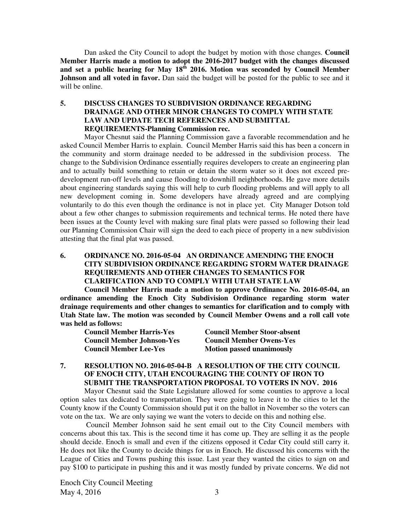Dan asked the City Council to adopt the budget by motion with those changes. **Council Member Harris made a motion to adopt the 2016-2017 budget with the changes discussed and set a public hearing for May 18th 2016. Motion was seconded by Council Member Johnson and all voted in favor.** Dan said the budget will be posted for the public to see and it will be online.

### **5. DISCUSS CHANGES TO SUBDIVISION ORDINANCE REGARDING DRAINAGE AND OTHER MINOR CHANGES TO COMPLY WITH STATE LAW AND UPDATE TECH REFERENCES AND SUBMITTAL REQUIREMENTS-Planning Commission rec.**

Mayor Chesnut said the Planning Commission gave a favorable recommendation and he asked Council Member Harris to explain. Council Member Harris said this has been a concern in the community and storm drainage needed to be addressed in the subdivision process. The change to the Subdivision Ordinance essentially requires developers to create an engineering plan and to actually build something to retain or detain the storm water so it does not exceed predevelopment run-off levels and cause flooding to downhill neighborhoods. He gave more details about engineering standards saying this will help to curb flooding problems and will apply to all new development coming in. Some developers have already agreed and are complying voluntarily to do this even though the ordinance is not in place yet. City Manager Dotson told about a few other changes to submission requirements and technical terms. He noted there have been issues at the County level with making sure final plats were passed so following their lead our Planning Commission Chair will sign the deed to each piece of property in a new subdivision attesting that the final plat was passed.

## **6. ORDINANCE NO. 2016-05-04 AN ORDINANCE AMENDING THE ENOCH CITY SUBDIVISION ORDINANCE REGARDING STORM WATER DRAINAGE REQUIREMENTS AND OTHER CHANGES TO SEMANTICS FOR CLARIFICATION AND TO COMPLY WITH UTAH STATE LAW**

**Council Member Harris made a motion to approve Ordinance No. 2016-05-04, an ordinance amending the Enoch City Subdivision Ordinance regarding storm water drainage requirements and other changes to semantics for clarification and to comply with Utah State law. The motion was seconded by Council Member Owens and a roll call vote was held as follows:** 

**Council Member Harris-Yes Council Member Stoor-absent Council Member Johnson-Yes Council Member Owens-Yes Council Member Lee-Yes Motion passed unanimously** 

## **7. RESOLUTION NO. 2016-05-04-B A RESOLUTION OF THE CITY COUNCIL OF ENOCH CITY, UTAH ENCOURAGING THE COUNTY OF IRON TO SUBMIT THE TRANSPORTATION PROPOSAL TO VOTERS IN NOV. 2016**

Mayor Chesnut said the State Legislature allowed for some counties to approve a local option sales tax dedicated to transportation. They were going to leave it to the cities to let the County know if the County Commission should put it on the ballot in November so the voters can vote on the tax. We are only saying we want the voters to decide on this and nothing else.

 Council Member Johnson said he sent email out to the City Council members with concerns about this tax. This is the second time it has come up. They are selling it as the people should decide. Enoch is small and even if the citizens opposed it Cedar City could still carry it. He does not like the County to decide things for us in Enoch. He discussed his concerns with the League of Cities and Towns pushing this issue. Last year they wanted the cities to sign on and pay \$100 to participate in pushing this and it was mostly funded by private concerns. We did not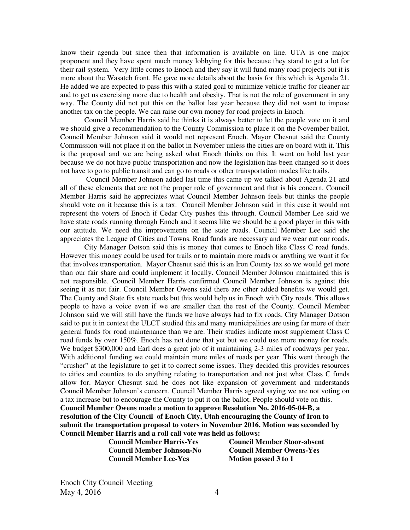know their agenda but since then that information is available on line. UTA is one major proponent and they have spent much money lobbying for this because they stand to get a lot for their rail system. Very little comes to Enoch and they say it will fund many road projects but it is more about the Wasatch front. He gave more details about the basis for this which is Agenda 21. He added we are expected to pass this with a stated goal to minimize vehicle traffic for cleaner air and to get us exercising more due to health and obesity. That is not the role of government in any way. The County did not put this on the ballot last year because they did not want to impose another tax on the people. We can raise our own money for road projects in Enoch.

Council Member Harris said he thinks it is always better to let the people vote on it and we should give a recommendation to the County Commission to place it on the November ballot. Council Member Johnson said it would not represent Enoch. Mayor Chesnut said the County Commission will not place it on the ballot in November unless the cities are on board with it. This is the proposal and we are being asked what Enoch thinks on this. It went on hold last year because we do not have public transportation and now the legislation has been changed so it does not have to go to public transit and can go to roads or other transportation modes like trails.

 Council Member Johnson added last time this came up we talked about Agenda 21 and all of these elements that are not the proper role of government and that is his concern. Council Member Harris said he appreciates what Council Member Johnson feels but thinks the people should vote on it because this is a tax. Council Member Johnson said in this case it would not represent the voters of Enoch if Cedar City pushes this through. Council Member Lee said we have state roads running through Enoch and it seems like we should be a good player in this with our attitude. We need the improvements on the state roads. Council Member Lee said she appreciates the League of Cities and Towns. Road funds are necessary and we wear out our roads.

City Manager Dotson said this is money that comes to Enoch like Class C road funds. However this money could be used for trails or to maintain more roads or anything we want it for that involves transportation. Mayor Chesnut said this is an Iron County tax so we would get more than our fair share and could implement it locally. Council Member Johnson maintained this is not responsible. Council Member Harris confirmed Council Member Johnson is against this seeing it as not fair. Council Member Owens said there are other added benefits we would get. The County and State fix state roads but this would help us in Enoch with City roads. This allows people to have a voice even if we are smaller than the rest of the County. Council Member Johnson said we will still have the funds we have always had to fix roads. City Manager Dotson said to put it in context the ULCT studied this and many municipalities are using far more of their general funds for road maintenance than we are. Their studies indicate most supplement Class C road funds by over 150%. Enoch has not done that yet but we could use more money for roads. We budget \$300,000 and Earl does a great job of it maintaining 2-3 miles of roadways per year. With additional funding we could maintain more miles of roads per year. This went through the "crusher" at the legislature to get it to correct some issues. They decided this provides resources to cities and counties to do anything relating to transportation and not just what Class C funds allow for. Mayor Chesnut said he does not like expansion of government and understands Council Member Johnson's concern. Council Member Harris agreed saying we are not voting on a tax increase but to encourage the County to put it on the ballot. People should vote on this. **Council Member Owens made a motion to approve Resolution No. 2016-05-04-B, a resolution of the City Council of Enoch City, Utah encouraging the County of Iron to** 

**submit the transportation proposal to voters in November 2016. Motion was seconded by Council Member Harris and a roll call vote was held as follows: Council Member Harris-Yes Council Member Stoor-absent** 

**Council Member Lee-Yes** Motion passed 3 to 1

 **Council Member Johnson-No Council Member Owens-Yes**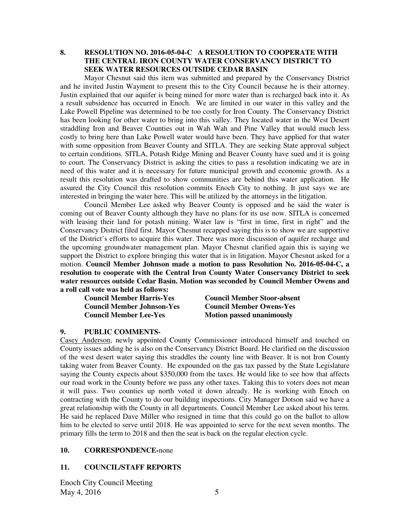## **8. RESOLUTION NO. 2016-05-04-C A RESOLUTION TO COOPERATE WITH THE CENTRAL IRON COUNTY WATER CONSERVANCY DISTRICT TO SEEK WATER RESOURCES OUTSIDE CEDAR BASIN**

Mayor Chesnut said this item was submitted and prepared by the Conservancy District and he invited Justin Wayment to present this to the City Council because he is their attorney. Justin explained that our aquifer is being mined for more water than is recharged back into it. As a result subsidence has occurred in Enoch. We are limited in our water in this valley and the Lake Powell Pipeline was determined to be too costly for Iron County. The Conservancy District has been looking for other water to bring into this valley. They located water in the West Desert straddling Iron and Beaver Counties out in Wah Wah and Pine Valley that would much less costly to bring here than Lake Powell water would have been. They have applied for that water with some opposition from Beaver County and SITLA. They are seeking State approval subject to certain conditions. SITLA, Potash Ridge Mining and Beaver County have sued and it is going to court. The Conservancy District is asking the cities to pass a resolution indicating we are in need of this water and it is necessary for future municipal growth and economic growth. As a result this resolution was drafted to show communities are behind this water application. He assured the City Council this resolution commits Enoch City to nothing. It just says we are interested in bringing the water here. This will be utilized by the attorneys in the litigation.

Council Member Lee asked why Beaver County is opposed and he said the water is coming out of Beaver County although they have no plans for its use now. SITLA is concerned with leasing their land for potash mining. Water law is "first in time, first in right" and the Conservancy District filed first. Mayor Chesnut recapped saying this is to show we are supportive of the District's efforts to acquire this water. There was more discussion of aquifer recharge and the upcoming groundwater management plan. Mayor Chesnut clarified again this is saying we support the District to explore bringing this water that is in litigation. Mayor Chesnut asked for a motion. **Council Member Johnson made a motion to pass Resolution No. 2016-05-04-C, a resolution to cooperate with the Central Iron County Water Conservancy District to seek water resources outside Cedar Basin. Motion was seconded by Council Member Owens and a roll call vote was held as follows:** 

**Council Member Lee-Yes Motion passed unanimously** 

**Council Member Harris-Yes Council Member Stoor-absent Council Member Johnson-Yes Council Member Owens-Yes** 

### **9. PUBLIC COMMENTS-**

Casey Anderson, newly appointed County Commissioner introduced himself and touched on County issues adding he is also on the Conservancy District Board. He clarified on the discussion of the west desert water saying this straddles the county line with Beaver. It is not Iron County taking water from Beaver County. He expounded on the gas tax passed by the State Legislature saying the County expects about \$350,000 from the taxes. He would like to see how that affects our road work in the County before we pass any other taxes. Taking this to voters does not mean it will pass. Two counties up north voted it down already. He is working with Enoch on contracting with the County to do our building inspections. City Manager Dotson said we have a great relationship with the County in all departments. Council Member Lee asked about his term. He said he replaced Dave Miller who resigned in time that this could go on the ballot to allow him to be elected to serve until 2018. He was appointed to serve for the next seven months. The primary fills the term to 2018 and then the seat is back on the regular election cycle.

### **10. CORRESPONDENCE-**none

### **11. COUNCIL/STAFF REPORTS**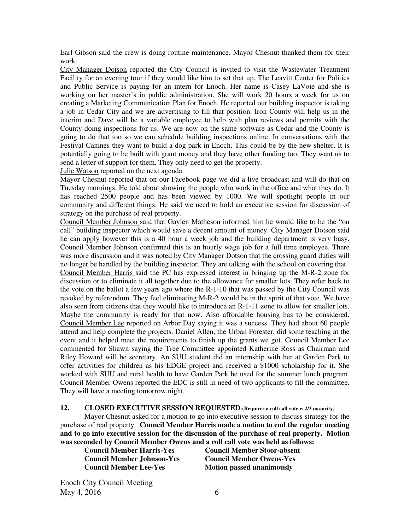Earl Gibson said the crew is doing routine maintenance. Mayor Chesnut thanked them for their work.

City Manager Dotson reported the City Council is invited to visit the Wastewater Treatment Facility for an evening tour if they would like him to set that up. The Leavitt Center for Politics and Public Service is paying for an intern for Enoch. Her name is Casey LaVoie and she is working on her master's in public administration. She will work 20 hours a week for us on creating a Marketing Communication Plan for Enoch. He reported our building inspector is taking a job in Cedar City and we are advertising to fill that position. Iron County will help us in the interim and Dave will be a variable employee to help with plan reviews and permits with the County doing inspections for us. We are now on the same software as Cedar and the County is going to do that too so we can schedule building inspections online. In conversations with the Festival Canines they want to build a dog park in Enoch. This could be by the new shelter. It is potentially going to be built with grant money and they have other funding too. They want us to send a letter of support for them. They only need to get the property.

Julie Watson reported on the next agenda.

Mayor Chesnut reported that on our Facebook page we did a live broadcast and will do that on Tuesday mornings. He told about showing the people who work in the office and what they do. It has reached 2500 people and has been viewed by 1000. We will spotlight people in our community and different things. He said we need to hold an executive session for discussion of strategy on the purchase of real property.

Council Member Johnson said that Gaylen Matheson informed him he would like to be the "on call" building inspector which would save a decent amount of money. City Manager Dotson said he can apply however this is a 40 hour a week job and the building department is very busy. Council Member Johnson confirmed this is an hourly wage job for a full time employee. There was more discussion and it was noted by City Manager Dotson that the crossing guard duties will no longer be handled by the building inspector. They are talking with the school on covering that. Council Member Harris said the PC has expressed interest in bringing up the M-R-2 zone for discussion or to eliminate it all together due to the allowance for smaller lots. They refer back to the vote on the ballot a few years ago where the R-1-10 that was passed by the City Council was revoked by referendum. They feel eliminating M-R-2 would be in the spirit of that vote. We have also seen from citizens that they would like to introduce an R-1-11 zone to allow for smaller lots. Maybe the community is ready for that now. Also affordable housing has to be considered. Council Member Lee reported on Arbor Day saying it was a success. They had about 60 people attend and help complete the projects. Daniel Allen, the Urban Forester, did some teaching at the event and it helped meet the requirements to finish up the grants we got. Council Member Lee commented for Shawn saying the Tree Committee appointed Katherine Ross as Chairman and Riley Howard will be secretary. An SUU student did an internship with her at Garden Park to offer activities for children as his EDGE project and received a \$1000 scholarship for it. She worked with SUU and rural health to have Garden Park be used for the summer lunch program. Council Member Owens reported the EDC is still in need of two applicants to fill the committee. They will have a meeting tomorrow night.

#### **12. CLOSED EXECUTIVE SESSION REQUESTED-(Requires a roll call vote w 2/3 majority)**

Mayor Chesnut asked for a motion to go into executive session to discuss strategy for the purchase of real property. **Council Member Harris made a motion to end the regular meeting and to go into executive session for the discussion of the purchase of real property. Motion was seconded by Council Member Owens and a roll call vote was held as follows:** 

 **Council Member Johnson-Yes Council Member Owens-Yes Council Member Lee-Yes** Motion passed unanimously

**Council Member Harris-Yes Council Member Stoor-absent**